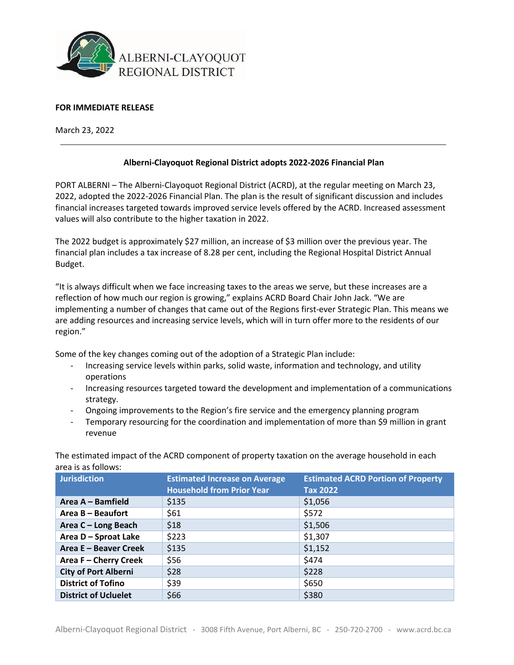

## **FOR IMMEDIATE RELEASE**

March 23, 2022

## **Alberni-Clayoquot Regional District adopts 2022-2026 Financial Plan**

PORT ALBERNI – The Alberni-Clayoquot Regional District (ACRD), at the regular meeting on March 23, 2022, adopted the 2022-2026 Financial Plan. The plan is the result of significant discussion and includes financial increases targeted towards improved service levels offered by the ACRD. Increased assessment values will also contribute to the higher taxation in 2022.

The 2022 budget is approximately \$27 million, an increase of \$3 million over the previous year. The financial plan includes a tax increase of 8.28 per cent, including the Regional Hospital District Annual Budget.

"It is always difficult when we face increasing taxes to the areas we serve, but these increases are a reflection of how much our region is growing," explains ACRD Board Chair John Jack. "We are implementing a number of changes that came out of the Regions first-ever Strategic Plan. This means we are adding resources and increasing service levels, which will in turn offer more to the residents of our region."

Some of the key changes coming out of the adoption of a Strategic Plan include:

- Increasing service levels within parks, solid waste, information and technology, and utility operations
- Increasing resources targeted toward the development and implementation of a communications strategy.
- Ongoing improvements to the Region's fire service and the emergency planning program
- Temporary resourcing for the coordination and implementation of more than \$9 million in grant revenue

The estimated impact of the ACRD component of property taxation on the average household in each area is as follows:

| <b>Jurisdiction</b>         | <b>Estimated Increase on Average</b><br><b>Household from Prior Year</b> | <b>Estimated ACRD Portion of Property</b><br><b>Tax 2022</b> |
|-----------------------------|--------------------------------------------------------------------------|--------------------------------------------------------------|
| Area A - Bamfield           | \$135                                                                    | \$1,056                                                      |
| Area B - Beaufort           | \$61                                                                     | \$572                                                        |
| Area C - Long Beach         | \$18                                                                     | \$1,506                                                      |
| Area D - Sproat Lake        | \$223                                                                    | \$1,307                                                      |
| Area E - Beaver Creek       | \$135                                                                    | \$1,152                                                      |
| Area F - Cherry Creek       | \$56                                                                     | \$474                                                        |
| <b>City of Port Alberni</b> | \$28                                                                     | \$228                                                        |
| <b>District of Tofino</b>   | \$39                                                                     | \$650                                                        |
| <b>District of Ucluelet</b> | \$66                                                                     | \$380                                                        |